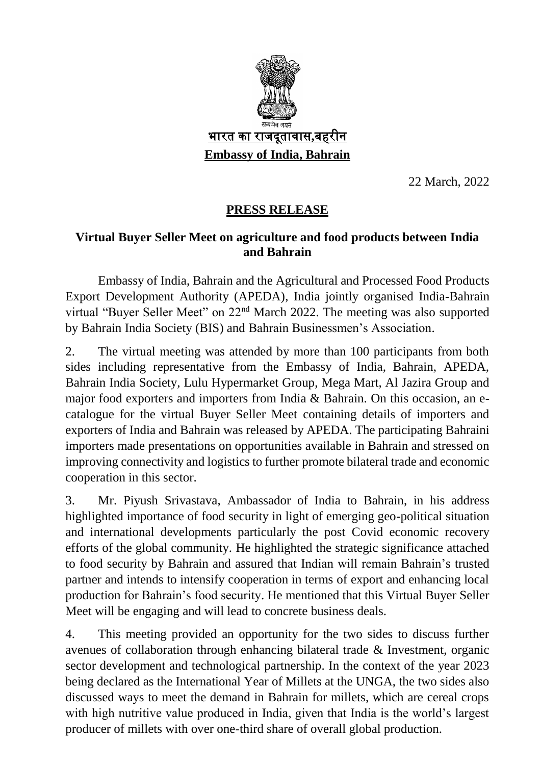

22 March, 2022

### **PRESS RELEASE**

### **Virtual Buyer Seller Meet on agriculture and food products between India and Bahrain**

Embassy of India, Bahrain and the Agricultural and Processed Food Products Export Development Authority (APEDA), India jointly organised India-Bahrain virtual "Buyer Seller Meet" on 22nd March 2022. The meeting was also supported by Bahrain India Society (BIS) and Bahrain Businessmen's Association.

2. The virtual meeting was attended by more than 100 participants from both sides including representative from the Embassy of India, Bahrain, APEDA, Bahrain India Society, Lulu Hypermarket Group, Mega Mart, Al Jazira Group and major food exporters and importers from India & Bahrain. On this occasion, an ecatalogue for the virtual Buyer Seller Meet containing details of importers and exporters of India and Bahrain was released by APEDA. The participating Bahraini importers made presentations on opportunities available in Bahrain and stressed on improving connectivity and logistics to further promote bilateral trade and economic cooperation in this sector.

3. Mr. Piyush Srivastava, Ambassador of India to Bahrain, in his address highlighted importance of food security in light of emerging geo-political situation and international developments particularly the post Covid economic recovery efforts of the global community. He highlighted the strategic significance attached to food security by Bahrain and assured that Indian will remain Bahrain's trusted partner and intends to intensify cooperation in terms of export and enhancing local production for Bahrain's food security. He mentioned that this Virtual Buyer Seller Meet will be engaging and will lead to concrete business deals.

4. This meeting provided an opportunity for the two sides to discuss further avenues of collaboration through enhancing bilateral trade & Investment, organic sector development and technological partnership. In the context of the year 2023 being declared as the International Year of Millets at the UNGA, the two sides also discussed ways to meet the demand in Bahrain for millets, which are cereal crops with high nutritive value produced in India, given that India is the world's largest producer of millets with over one-third share of overall global production.